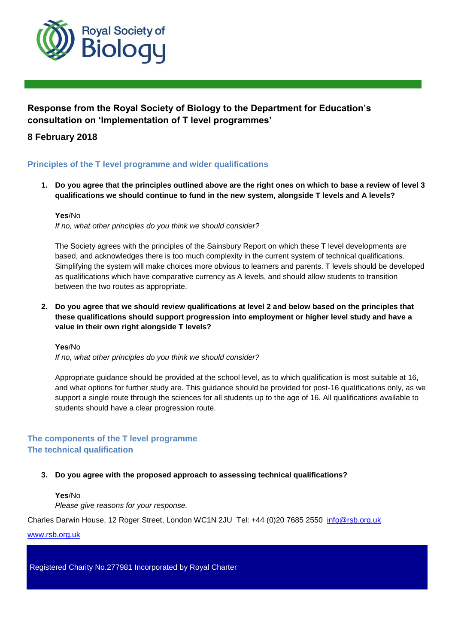

# **Response from the Royal Society of Biology to the Department for Education's consultation on 'Implementation of T level programmes'**

## **8 February 2018**

## **Principles of the T level programme and wider qualifications**

**1. Do you agree that the principles outlined above are the right ones on which to base a review of level 3 qualifications we should continue to fund in the new system, alongside T levels and A levels?** 

#### **Yes**/No

*If no, what other principles do you think we should consider?*

The Society agrees with the principles of the Sainsbury Report on which these T level developments are based, and acknowledges there is too much complexity in the current system of technical qualifications. Simplifying the system will make choices more obvious to learners and parents. T levels should be developed as qualifications which have comparative currency as A levels, and should allow students to transition between the two routes as appropriate.

**2. Do you agree that we should review qualifications at level 2 and below based on the principles that these qualifications should support progression into employment or higher level study and have a value in their own right alongside T levels?** 

#### **Yes**/No

*If no, what other principles do you think we should consider?*

Appropriate guidance should be provided at the school level, as to which qualification is most suitable at 16, and what options for further study are. This guidance should be provided for post-16 qualifications only, as we support a single route through the sciences for all students up to the age of 16. All qualifications available to students should have a clear progression route.

## **The components of the T level programme The technical qualification**

## **3. Do you agree with the proposed approach to assessing technical qualifications?**

**Yes**/No *Please give reasons for your response.*

Charles Darwin House, 12 Roger Street, London WC1N 2JU Tel: +44 (0)20 7685 2550 [info@rsb.org.uk](mailto:info@rsb.org.uk)

www.rsb.org.uk

Registered Charity No.277981 Incorporated by Royal Charter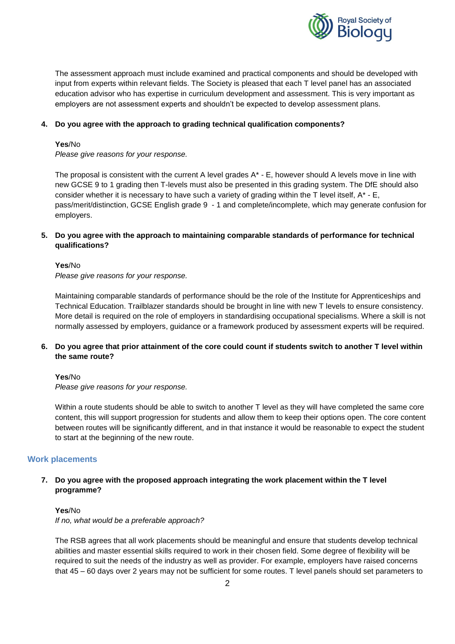

The assessment approach must include examined and practical components and should be developed with input from experts within relevant fields. The Society is pleased that each T level panel has an associated education advisor who has expertise in curriculum development and assessment. This is very important as employers are not assessment experts and shouldn't be expected to develop assessment plans.

#### **4. Do you agree with the approach to grading technical qualification components?**

#### **Yes**/No

*Please give reasons for your response.*

The proposal is consistent with the current A level grades  $A^*$  - E, however should A levels move in line with new GCSE 9 to 1 grading then T-levels must also be presented in this grading system. The DfE should also consider whether it is necessary to have such a variety of grading within the T level itself,  $A^*$  - E, pass/merit/distinction, GCSE English grade 9 - 1 and complete/incomplete, which may generate confusion for employers.

## **5. Do you agree with the approach to maintaining comparable standards of performance for technical qualifications?**

#### **Yes**/No

*Please give reasons for your response.*

Maintaining comparable standards of performance should be the role of the Institute for Apprenticeships and Technical Education. Trailblazer standards should be brought in line with new T levels to ensure consistency. More detail is required on the role of employers in standardising occupational specialisms. Where a skill is not normally assessed by employers, guidance or a framework produced by assessment experts will be required.

## **6. Do you agree that prior attainment of the core could count if students switch to another T level within the same route?**

#### **Yes**/No

*Please give reasons for your response.*

Within a route students should be able to switch to another T level as they will have completed the same core content, this will support progression for students and allow them to keep their options open. The core content between routes will be significantly different, and in that instance it would be reasonable to expect the student to start at the beginning of the new route.

## **Work placements**

## **7. Do you agree with the proposed approach integrating the work placement within the T level programme?**

#### **Yes**/No

*If no, what would be a preferable approach?* 

The RSB agrees that all work placements should be meaningful and ensure that students develop technical abilities and master essential skills required to work in their chosen field. Some degree of flexibility will be required to suit the needs of the industry as well as provider. For example, employers have raised concerns that 45 – 60 days over 2 years may not be sufficient for some routes. T level panels should set parameters to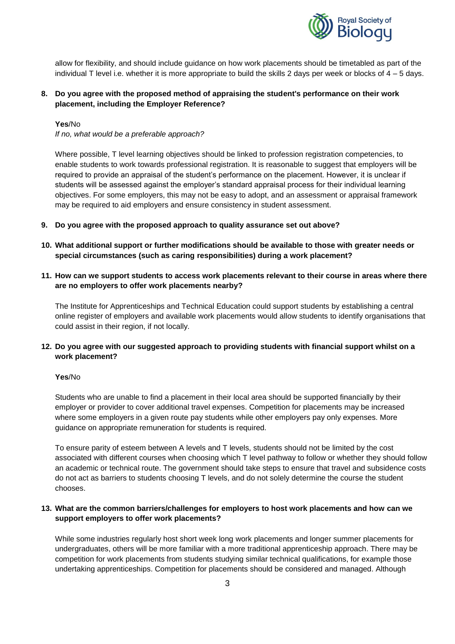

allow for flexibility, and should include guidance on how work placements should be timetabled as part of the individual T level i.e. whether it is more appropriate to build the skills 2 days per week or blocks of 4 – 5 days.

## **8. Do you agree with the proposed method of appraising the student's performance on their work placement, including the Employer Reference?**

#### **Yes**/No

*If no, what would be a preferable approach?* 

Where possible, T level learning objectives should be linked to profession registration competencies, to enable students to work towards professional registration. It is reasonable to suggest that employers will be required to provide an appraisal of the student's performance on the placement. However, it is unclear if students will be assessed against the employer's standard appraisal process for their individual learning objectives. For some employers, this may not be easy to adopt, and an assessment or appraisal framework may be required to aid employers and ensure consistency in student assessment.

- **9. Do you agree with the proposed approach to quality assurance set out above?**
- **10. What additional support or further modifications should be available to those with greater needs or special circumstances (such as caring responsibilities) during a work placement?**
- **11. How can we support students to access work placements relevant to their course in areas where there are no employers to offer work placements nearby?**

The Institute for Apprenticeships and Technical Education could support students by establishing a central online register of employers and available work placements would allow students to identify organisations that could assist in their region, if not locally.

## **12. Do you agree with our suggested approach to providing students with financial support whilst on a work placement?**

#### **Yes**/No

Students who are unable to find a placement in their local area should be supported financially by their employer or provider to cover additional travel expenses. Competition for placements may be increased where some employers in a given route pay students while other employers pay only expenses. More guidance on appropriate remuneration for students is required.

To ensure parity of esteem between A levels and T levels, students should not be limited by the cost associated with different courses when choosing which T level pathway to follow or whether they should follow an academic or technical route. The government should take steps to ensure that travel and subsidence costs do not act as barriers to students choosing T levels, and do not solely determine the course the student chooses.

## **13. What are the common barriers/challenges for employers to host work placements and how can we support employers to offer work placements?**

While some industries regularly host short week long work placements and longer summer placements for undergraduates, others will be more familiar with a more traditional apprenticeship approach. There may be competition for work placements from students studying similar technical qualifications, for example those undertaking apprenticeships. Competition for placements should be considered and managed. Although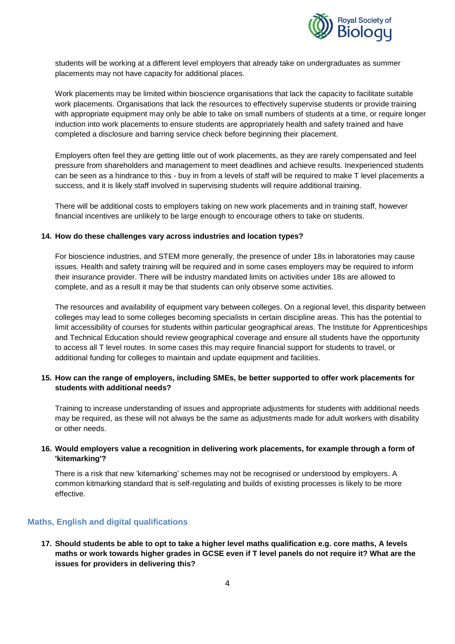

students will be working at a different level employers that already take on undergraduates as summer placements may not have capacity for additional places.

Work placements may be limited within bioscience organisations that lack the capacity to facilitate suitable work placements. Organisations that lack the resources to effectively supervise students or provide training with appropriate equipment may only be able to take on small numbers of students at a time, or require longer induction into work placements to ensure students are appropriately health and safety trained and have completed a disclosure and barring service check before beginning their placement.

Employers often feel they are getting little out of work placements, as they are rarely compensated and feel pressure from shareholders and management to meet deadlines and achieve results. Inexperienced students can be seen as a hindrance to this - buy in from a levels of staff will be required to make T level placements a success, and it is likely staff involved in supervising students will require additional training.

There will be additional costs to employers taking on new work placements and in training staff, however financial incentives are unlikely to be large enough to encourage others to take on students.

#### **14. How do these challenges vary across industries and location types?**

For bioscience industries, and STEM more generally, the presence of under 18s in laboratories may cause issues. Health and safety training will be required and in some cases employers may be required to inform their insurance provider. There will be industry mandated limits on activities under 18s are allowed to complete, and as a result it may be that students can only observe some activities.

The resources and availability of equipment vary between colleges. On a regional level, this disparity between colleges may lead to some colleges becoming specialists in certain discipline areas. This has the potential to limit accessibility of courses for students within particular geographical areas. The Institute for Apprenticeships and Technical Education should review geographical coverage and ensure all students have the opportunity to access all T level routes. In some cases this may require financial support for students to travel, or additional funding for colleges to maintain and update equipment and facilities.

## **15. How can the range of employers, including SMEs, be better supported to offer work placements for students with additional needs?**

Training to increase understanding of issues and appropriate adjustments for students with additional needs may be required, as these will not always be the same as adjustments made for adult workers with disability or other needs.

## **16. Would employers value a recognition in delivering work placements, for example through a form of 'kitemarking'?**

There is a risk that new 'kitemarking' schemes may not be recognised or understood by employers. A common kitmarking standard that is self-regulating and builds of existing processes is likely to be more effective.

## **Maths, English and digital qualifications**

**17. Should students be able to opt to take a higher level maths qualification e.g. core maths, A levels maths or work towards higher grades in GCSE even if T level panels do not require it? What are the issues for providers in delivering this?**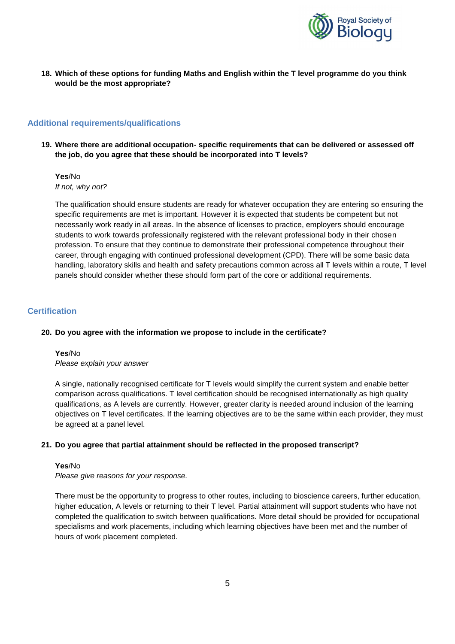

**18. Which of these options for funding Maths and English within the T level programme do you think would be the most appropriate?** 

## **Additional requirements/qualifications**

**19. Where there are additional occupation- specific requirements that can be delivered or assessed off the job, do you agree that these should be incorporated into T levels?** 

**Yes**/No *If not, why not?*

The qualification should ensure students are ready for whatever occupation they are entering so ensuring the specific requirements are met is important. However it is expected that students be competent but not necessarily work ready in all areas. In the absence of licenses to practice, employers should encourage students to work towards professionally registered with the relevant professional body in their chosen profession. To ensure that they continue to demonstrate their professional competence throughout their career, through engaging with continued professional development (CPD). There will be some basic data handling, laboratory skills and health and safety precautions common across all T levels within a route, T level panels should consider whether these should form part of the core or additional requirements.

#### **Certification**

#### **20. Do you agree with the information we propose to include in the certificate?**

**Yes**/No *Please explain your answer*

A single, nationally recognised certificate for T levels would simplify the current system and enable better comparison across qualifications. T level certification should be recognised internationally as high quality qualifications, as A levels are currently. However, greater clarity is needed around inclusion of the learning objectives on T level certificates. If the learning objectives are to be the same within each provider, they must be agreed at a panel level.

#### **21. Do you agree that partial attainment should be reflected in the proposed transcript?**

#### **Yes**/No

*Please give reasons for your response.*

There must be the opportunity to progress to other routes, including to bioscience careers, further education, higher education, A levels or returning to their T level. Partial attainment will support students who have not completed the qualification to switch between qualifications. More detail should be provided for occupational specialisms and work placements, including which learning objectives have been met and the number of hours of work placement completed.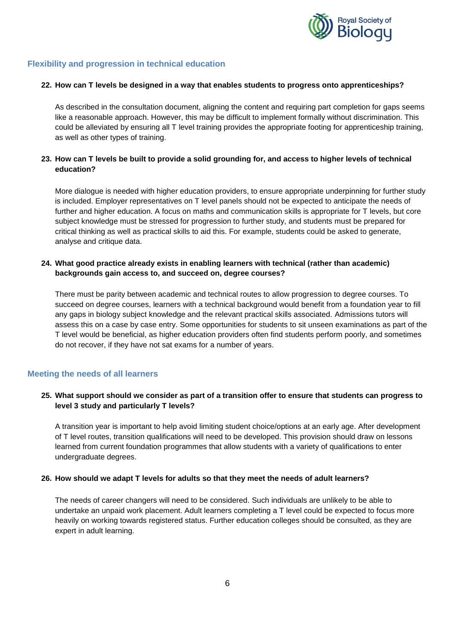

## **Flexibility and progression in technical education**

#### **22. How can T levels be designed in a way that enables students to progress onto apprenticeships?**

As described in the consultation document, aligning the content and requiring part completion for gaps seems like a reasonable approach. However, this may be difficult to implement formally without discrimination. This could be alleviated by ensuring all T level training provides the appropriate footing for apprenticeship training, as well as other types of training.

## **23. How can T levels be built to provide a solid grounding for, and access to higher levels of technical education?**

More dialogue is needed with higher education providers, to ensure appropriate underpinning for further study is included. Employer representatives on T level panels should not be expected to anticipate the needs of further and higher education. A focus on maths and communication skills is appropriate for T levels, but core subject knowledge must be stressed for progression to further study, and students must be prepared for critical thinking as well as practical skills to aid this. For example, students could be asked to generate, analyse and critique data.

#### **24. What good practice already exists in enabling learners with technical (rather than academic) backgrounds gain access to, and succeed on, degree courses?**

There must be parity between academic and technical routes to allow progression to degree courses. To succeed on degree courses, learners with a technical background would benefit from a foundation year to fill any gaps in biology subject knowledge and the relevant practical skills associated. Admissions tutors will assess this on a case by case entry. Some opportunities for students to sit unseen examinations as part of the T level would be beneficial, as higher education providers often find students perform poorly, and sometimes do not recover, if they have not sat exams for a number of years.

## **Meeting the needs of all learners**

## **25. What support should we consider as part of a transition offer to ensure that students can progress to level 3 study and particularly T levels?**

A transition year is important to help avoid limiting student choice/options at an early age. After development of T level routes, transition qualifications will need to be developed. This provision should draw on lessons learned from current foundation programmes that allow students with a variety of qualifications to enter undergraduate degrees.

#### **26. How should we adapt T levels for adults so that they meet the needs of adult learners?**

The needs of career changers will need to be considered. Such individuals are unlikely to be able to undertake an unpaid work placement. Adult learners completing a T level could be expected to focus more heavily on working towards registered status. Further education colleges should be consulted, as they are expert in adult learning.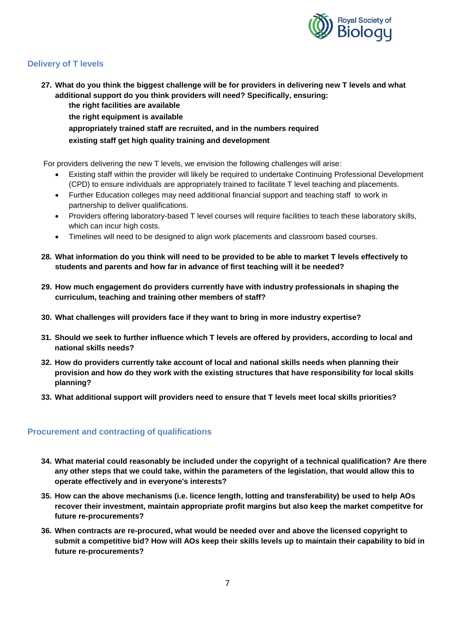

## **Delivery of T levels**

**27. What do you think the biggest challenge will be for providers in delivering new T levels and what additional support do you think providers will need? Specifically, ensuring: the right facilities are available**

**the right equipment is available**

**appropriately trained staff are recruited, and in the numbers required existing staff get high quality training and development** 

For providers delivering the new T levels, we envision the following challenges will arise:

- Existing staff within the provider will likely be required to undertake Continuing Professional Development (CPD) to ensure individuals are appropriately trained to facilitate T level teaching and placements.
- Further Education colleges may need additional financial support and teaching staff to work in partnership to deliver qualifications.
- Providers offering laboratory-based T level courses will require facilities to teach these laboratory skills, which can incur high costs.
- Timelines will need to be designed to align work placements and classroom based courses.
- **28. What information do you think will need to be provided to be able to market T levels effectively to students and parents and how far in advance of first teaching will it be needed?**
- **29. How much engagement do providers currently have with industry professionals in shaping the curriculum, teaching and training other members of staff?**
- **30. What challenges will providers face if they want to bring in more industry expertise?**
- **31. Should we seek to further influence which T levels are offered by providers, according to local and national skills needs?**
- **32. How do providers currently take account of local and national skills needs when planning their provision and how do they work with the existing structures that have responsibility for local skills planning?**
- **33. What additional support will providers need to ensure that T levels meet local skills priorities?**

## **Procurement and contracting of qualifications**

- **34. What material could reasonably be included under the copyright of a technical qualification? Are there any other steps that we could take, within the parameters of the legislation, that would allow this to operate effectively and in everyone's interests?**
- **35. How can the above mechanisms (i.e. licence length, lotting and transferability) be used to help AOs recover their investment, maintain appropriate profit margins but also keep the market competitve for future re-procurements?**
- **36. When contracts are re-procured, what would be needed over and above the licensed copyright to submit a competitive bid? How will AOs keep their skills levels up to maintain their capability to bid in future re-procurements?**